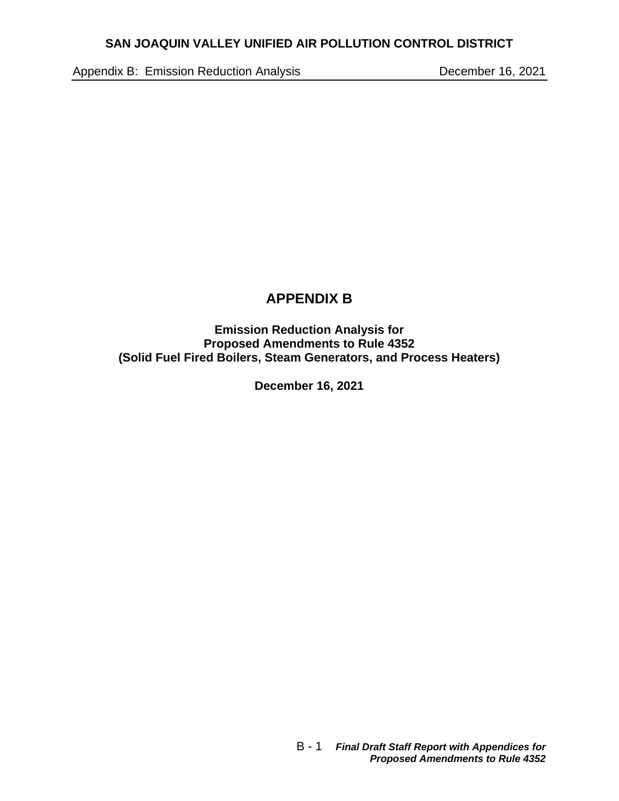# **APPENDIX B**

**Emission Reduction Analysis for Proposed Amendments to Rule 4352 (Solid Fuel Fired Boilers, Steam Generators, and Process Heaters)**

**December 16, 2021**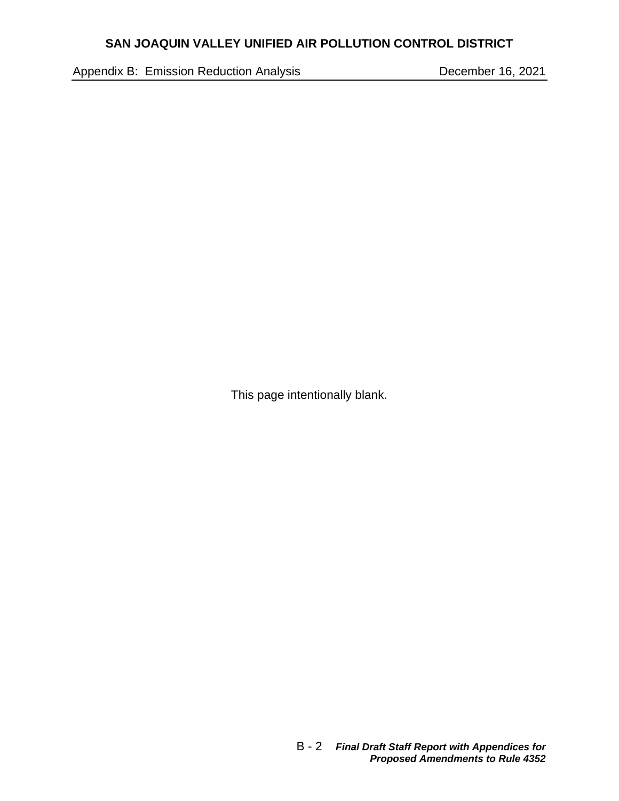### **SAN JOAQUIN VALLEY UNIFIED AIR POLLUTION CONTROL DISTRICT**

Appendix B: Emission Reduction Analysis **December 16, 2021** 

This page intentionally blank.

B - 2 *Final Draft Staff Report with Appendices for Proposed Amendments to Rule 4352*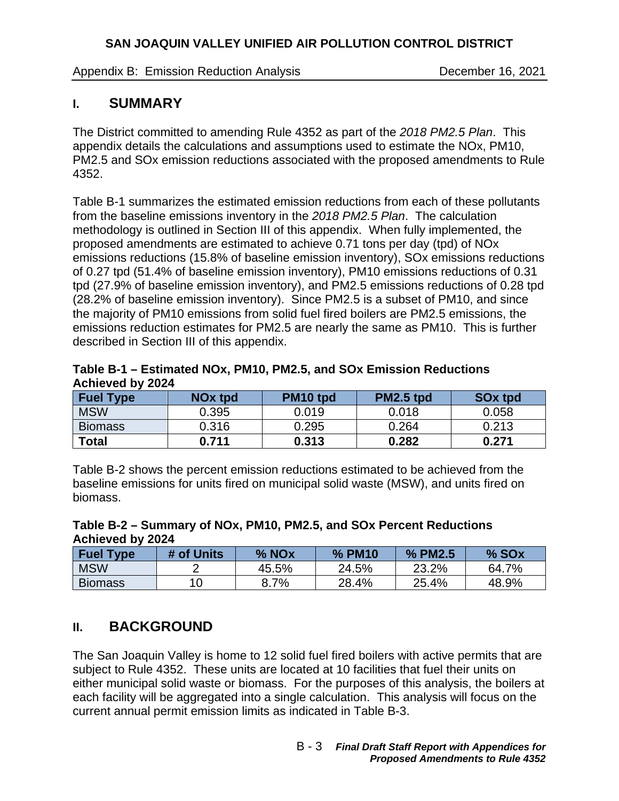### **I. SUMMARY**

The District committed to amending Rule 4352 as part of the *2018 PM2.5 Plan*. This appendix details the calculations and assumptions used to estimate the NOx, PM10, PM2.5 and SOx emission reductions associated with the proposed amendments to Rule 4352.

[Table B-1](#page-2-0) summarizes the estimated emission reductions from each of these pollutants from the baseline emissions inventory in the *2018 PM2.5 Plan*. The calculation methodology is outlined in Section [III](#page-3-0) of this appendix. When fully implemented, the proposed amendments are estimated to achieve 0.71 tons per day (tpd) of NOx emissions reductions (15.8% of baseline emission inventory), SOx emissions reductions of 0.27 tpd (51.4% of baseline emission inventory), PM10 emissions reductions of 0.31 tpd (27.9% of baseline emission inventory), and PM2.5 emissions reductions of 0.28 tpd (28.2% of baseline emission inventory). Since PM2.5 is a subset of PM10, and since the majority of PM10 emissions from solid fuel fired boilers are PM2.5 emissions, the emissions reduction estimates for PM2.5 are nearly the same as PM10. This is further described in Section III of this appendix.

| <b>Fuel Type</b> | NO <sub>x</sub> tpd | PM <sub>10</sub> tpd | PM2.5 tpd | <b>SOx tpd</b> |
|------------------|---------------------|----------------------|-----------|----------------|
| <b>MSW</b>       | 0.395               | 0.019                | 0.018     | 0.058          |
| <b>Biomass</b>   | 0.316               | 0.295                | 0.264     | 0.213          |
| <b>Total</b>     | 0.711               | 0.313                | 0.282     | 0.271          |

#### <span id="page-2-0"></span>**Table B-1 – Estimated NOx, PM10, PM2.5, and SOx Emission Reductions Achieved by 2024**

[Table B-2](#page-2-1) shows the percent emission reductions estimated to be achieved from the baseline emissions for units fired on municipal solid waste (MSW), and units fired on biomass.

#### <span id="page-2-1"></span>**Table B-2 – Summary of NOx, PM10, PM2.5, and SOx Percent Reductions Achieved by 2024**

| <b>Fuel Type</b> | # of Units | $%$ NO $x$ | % PM10 | % PM2.5 | $%$ SO $x$ |
|------------------|------------|------------|--------|---------|------------|
| <b>MSW</b>       |            | 45.5%      | 24.5%  | 23.2%   | 64.7%      |
| <b>Biomass</b>   |            | 7%         | 28.4%  | 25.4%   | 48.9%      |

# **II. BACKGROUND**

The San Joaquin Valley is home to 12 solid fuel fired boilers with active permits that are subject to Rule 4352. These units are located at 10 facilities that fuel their units on either municipal solid waste or biomass. For the purposes of this analysis, the boilers at each facility will be aggregated into a single calculation. This analysis will focus on the current annual permit emission limits as indicated in [Table](#page-3-1) B-3.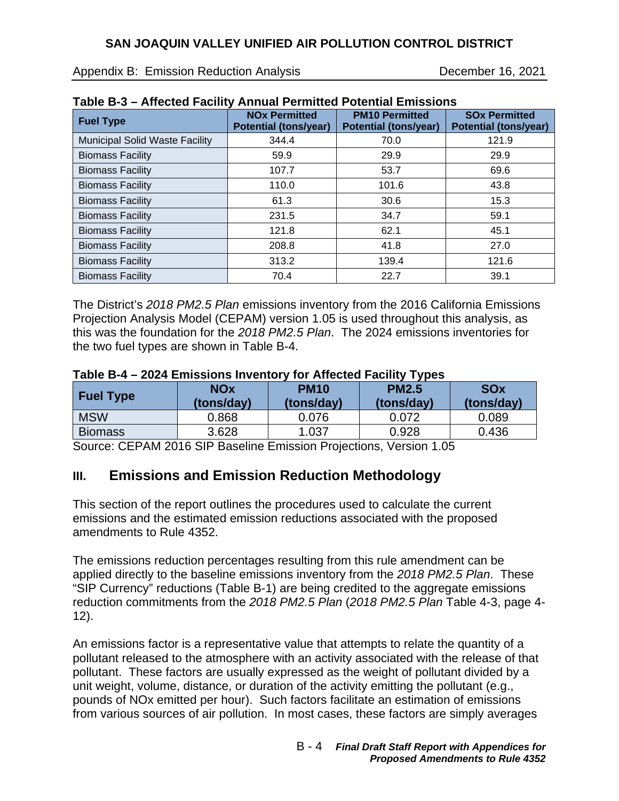| iaule D-9 – Allected I achity Allitual I emilited I Otential Linissions |                                                                 |                                                       |                                                      |  |  |  |
|-------------------------------------------------------------------------|-----------------------------------------------------------------|-------------------------------------------------------|------------------------------------------------------|--|--|--|
| <b>Fuel Type</b>                                                        | <b>NO<sub>x</sub></b> Permitted<br><b>Potential (tons/year)</b> | <b>PM10 Permitted</b><br><b>Potential (tons/year)</b> | <b>SOx Permitted</b><br><b>Potential (tons/year)</b> |  |  |  |
| <b>Municipal Solid Waste Facility</b>                                   | 344.4                                                           | 70.0                                                  | 121.9                                                |  |  |  |
| <b>Biomass Facility</b>                                                 | 59.9                                                            | 29.9                                                  | 29.9                                                 |  |  |  |
| <b>Biomass Facility</b>                                                 | 107.7                                                           | 53.7                                                  | 69.6                                                 |  |  |  |
| <b>Biomass Facility</b>                                                 | 110.0                                                           | 101.6                                                 | 43.8                                                 |  |  |  |
| <b>Biomass Facility</b>                                                 | 61.3                                                            | 30.6                                                  | 15.3                                                 |  |  |  |
| <b>Biomass Facility</b>                                                 | 231.5                                                           | 34.7                                                  | 59.1                                                 |  |  |  |
| <b>Biomass Facility</b>                                                 | 121.8                                                           | 62.1                                                  | 45.1                                                 |  |  |  |
| <b>Biomass Facility</b>                                                 | 208.8                                                           | 41.8                                                  | 27.0                                                 |  |  |  |
| <b>Biomass Facility</b>                                                 | 313.2                                                           | 139.4                                                 | 121.6                                                |  |  |  |
| <b>Biomass Facility</b>                                                 | 70.4                                                            | 22.7                                                  | 39.1                                                 |  |  |  |

### <span id="page-3-1"></span>**Table B-3 – Affected Facility Annual Permitted Potential Emissions**

The District's *2018 PM2.5 Plan* emissions inventory from the 2016 California Emissions Projection Analysis Model (CEPAM) version 1.05 is used throughout this analysis, as this was the foundation for the *2018 PM2.5 Plan*. The 2024 emissions inventories for the two fuel types are shown in [Table B-4.](#page-3-2)

#### <span id="page-3-2"></span>**Table B-4 – 2024 Emissions Inventory for Affected Facility Types**

| <b>Fuel Type</b> | <b>NOx</b><br>(tons/day) | <b>PM10</b><br>(tons/day) | <b>PM2.5</b><br>(tons/day) | <b>SOx</b><br>(tons/day) |
|------------------|--------------------------|---------------------------|----------------------------|--------------------------|
| <b>MSW</b>       | 0.868                    | 0.076                     | 0.072                      | 0.089                    |
| <b>Biomass</b>   | 3.628                    | 1.037                     | 0.928                      | 0.436                    |

Source: CEPAM 2016 SIP Baseline Emission Projections, Version 1.05

# <span id="page-3-0"></span>**III. Emissions and Emission Reduction Methodology**

This section of the report outlines the procedures used to calculate the current emissions and the estimated emission reductions associated with the proposed amendments to Rule 4352.

The emissions reduction percentages resulting from this rule amendment can be applied directly to the baseline emissions inventory from the *2018 PM2.5 Plan*. These "SIP Currency" reductions (Table B-1) are being credited to the aggregate emissions reduction commitments from the *2018 PM2.5 Plan* (*2018 PM2.5 Plan* Table 4-3, page 4- 12).

An emissions factor is a representative value that attempts to relate the quantity of a pollutant released to the atmosphere with an activity associated with the release of that pollutant. These factors are usually expressed as the weight of pollutant divided by a unit weight, volume, distance, or duration of the activity emitting the pollutant (e.g., pounds of NOx emitted per hour). Such factors facilitate an estimation of emissions from various sources of air pollution. In most cases, these factors are simply averages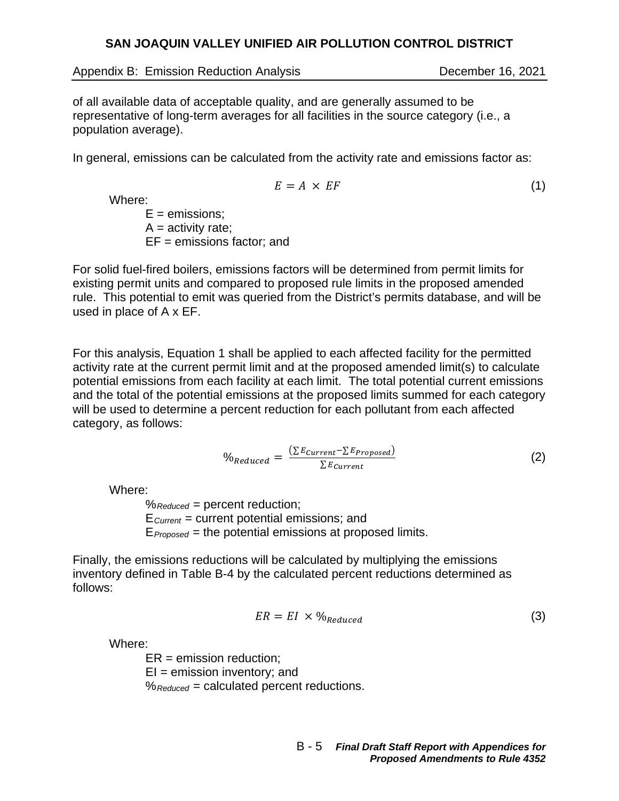of all available data of acceptable quality, and are generally assumed to be representative of long-term averages for all facilities in the source category (i.e., a population average).

In general, emissions can be calculated from the activity rate and emissions factor as:

$$
E = A \times EF \tag{1}
$$

Where:

 $E =$  emissions;  $A =$  activity rate; EF = emissions factor; and

For solid fuel-fired boilers, emissions factors will be determined from permit limits for existing permit units and compared to proposed rule limits in the proposed amended rule. This potential to emit was queried from the District's permits database, and will be used in place of A x EF.

For this analysis, Equation 1 shall be applied to each affected facility for the permitted activity rate at the current permit limit and at the proposed amended limit(s) to calculate potential emissions from each facility at each limit. The total potential current emissions and the total of the potential emissions at the proposed limits summed for each category will be used to determine a percent reduction for each pollutant from each affected category, as follows:

$$
\%Reduced = \frac{(\Sigma E_{Current} - \Sigma E_{Proposed})}{\Sigma E_{current}}
$$
 (2)

Where:

%*Reduced* = percent reduction; E*Current* = current potential emissions; and E*Proposed* = the potential emissions at proposed limits.

Finally, the emissions reductions will be calculated by multiplying the emissions inventory defined in Table B-4 by the calculated percent reductions determined as follows:

$$
ER = EI \times \%_{Reduced} \tag{3}
$$

Where:

 $ER =$  emission reduction:  $EI =$  emission inventory; and %*Reduced* = calculated percent reductions.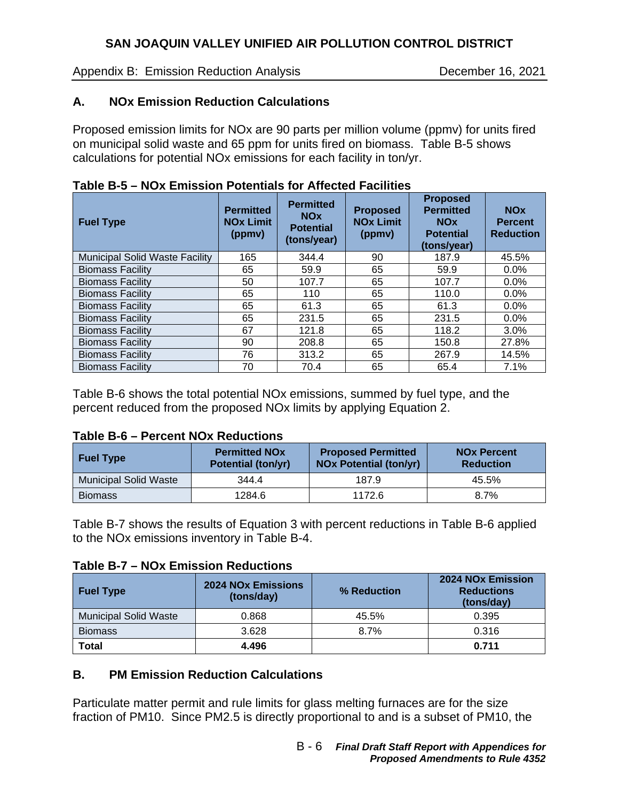### **A. NOx Emission Reduction Calculations**

Proposed emission limits for NOx are 90 parts per million volume (ppmv) for units fired on municipal solid waste and 65 ppm for units fired on biomass. [Table B-5](#page-5-0) shows calculations for potential NOx emissions for each facility in ton/yr.

| <b>Fuel Type</b>                      | <b>Permitted</b><br><b>NOx Limit</b><br>(ppmv) | <b>Permitted</b><br><b>NOx</b><br><b>Potential</b><br>(tons/year) | <b>Proposed</b><br><b>NO<sub>x</sub></b> Limit<br>(ppmv) | <b>Proposed</b><br><b>Permitted</b><br><b>NOx</b><br><b>Potential</b><br>(tons/year) | <b>NOx</b><br><b>Percent</b><br><b>Reduction</b> |
|---------------------------------------|------------------------------------------------|-------------------------------------------------------------------|----------------------------------------------------------|--------------------------------------------------------------------------------------|--------------------------------------------------|
| <b>Municipal Solid Waste Facility</b> | 165                                            | 344.4                                                             | 90                                                       | 187.9                                                                                | 45.5%                                            |
| <b>Biomass Facility</b>               | 65                                             | 59.9                                                              | 65                                                       | 59.9                                                                                 | $0.0\%$                                          |
| <b>Biomass Facility</b>               | 50                                             | 107.7                                                             | 65                                                       | 107.7                                                                                | $0.0\%$                                          |
| <b>Biomass Facility</b>               | 65                                             | 110                                                               | 65                                                       | 110.0                                                                                | $0.0\%$                                          |
| <b>Biomass Facility</b>               | 65                                             | 61.3                                                              | 65                                                       | 61.3                                                                                 | $0.0\%$                                          |
| <b>Biomass Facility</b>               | 65                                             | 231.5                                                             | 65                                                       | 231.5                                                                                | $0.0\%$                                          |
| <b>Biomass Facility</b>               | 67                                             | 121.8                                                             | 65                                                       | 118.2                                                                                | 3.0%                                             |
| <b>Biomass Facility</b>               | 90                                             | 208.8                                                             | 65                                                       | 150.8                                                                                | 27.8%                                            |
| <b>Biomass Facility</b>               | 76                                             | 313.2                                                             | 65                                                       | 267.9                                                                                | 14.5%                                            |
| <b>Biomass Facility</b>               | 70                                             | 70.4                                                              | 65                                                       | 65.4                                                                                 | 7.1%                                             |

<span id="page-5-0"></span>

| Table B-5 – NOx Emission Potentials for Affected Facilities |  |
|-------------------------------------------------------------|--|
|-------------------------------------------------------------|--|

[Table](#page-5-1) B-6 shows the total potential NOx emissions, summed by fuel type, and the percent reduced from the proposed NOx limits by applying Equation 2.

#### <span id="page-5-1"></span>**Table B-6 – Percent NOx Reductions**

| <b>Fuel Type</b>      | <b>Permitted NOx</b><br><b>Potential (ton/yr)</b> | <b>Proposed Permitted</b><br><b>NOx Potential (ton/yr)</b> | <b>NO<sub>x</sub></b> Percent<br><b>Reduction</b> |
|-----------------------|---------------------------------------------------|------------------------------------------------------------|---------------------------------------------------|
| Municipal Solid Waste | 344.4                                             | 187.9                                                      | 45.5%                                             |
| <b>Biomass</b>        | 1284.6                                            | 1172.6                                                     | 8.7%                                              |

[Table](#page-5-2) B-7 shows the results of Equation 3 with percent reductions in [Table](#page-5-1) B-6 applied to the NOx emissions inventory in [Table B-4.](#page-3-2)

#### <span id="page-5-2"></span>**Table B-7 – NOx Emission Reductions**

| <b>Fuel Type</b>             | <b>2024 NOx Emissions</b><br>(tons/day) | % Reduction | 2024 NOx Emission<br><b>Reductions</b><br>(tons/day) |
|------------------------------|-----------------------------------------|-------------|------------------------------------------------------|
| <b>Municipal Solid Waste</b> | 0.868                                   | 45.5%       | 0.395                                                |
| <b>Biomass</b>               | 3.628                                   | 8.7%        | 0.316                                                |
| Total                        | 4.496                                   |             | 0.711                                                |

### **B. PM Emission Reduction Calculations**

Particulate matter permit and rule limits for glass melting furnaces are for the size fraction of PM10. Since PM2.5 is directly proportional to and is a subset of PM10, the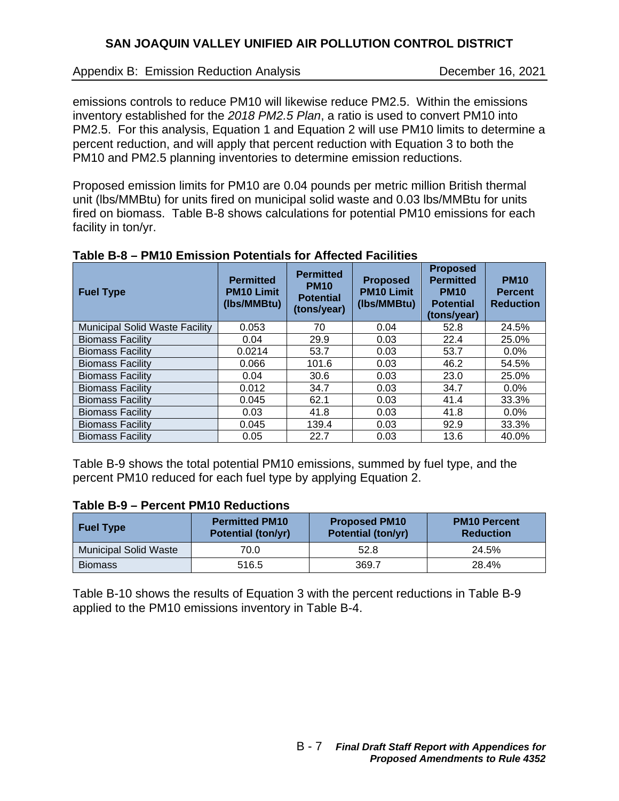emissions controls to reduce PM10 will likewise reduce PM2.5. Within the emissions inventory established for the *2018 PM2.5 Plan*, a ratio is used to convert PM10 into PM2.5. For this analysis, Equation 1 and Equation 2 will use PM10 limits to determine a percent reduction, and will apply that percent reduction with Equation 3 to both the PM10 and PM2.5 planning inventories to determine emission reductions.

Proposed emission limits for PM10 are 0.04 pounds per metric million British thermal unit (lbs/MMBtu) for units fired on municipal solid waste and 0.03 lbs/MMBtu for units fired on biomass. [Table B-8](#page-6-0) shows calculations for potential PM10 emissions for each facility in ton/yr.

| <b>Fuel Type</b>                      | <b>Permitted</b><br><b>PM10 Limit</b><br>(Ibs/MMBtu) | <b>Permitted</b><br><b>PM10</b><br><b>Potential</b><br>(tons/year) | <b>Proposed</b><br><b>PM10 Limit</b><br>(Ibs/MMBtu) | <b>Proposed</b><br><b>Permitted</b><br><b>PM10</b><br><b>Potential</b><br>(tons/year) | <b>PM10</b><br><b>Percent</b><br><b>Reduction</b> |
|---------------------------------------|------------------------------------------------------|--------------------------------------------------------------------|-----------------------------------------------------|---------------------------------------------------------------------------------------|---------------------------------------------------|
| <b>Municipal Solid Waste Facility</b> | 0.053                                                | 70                                                                 | 0.04                                                | 52.8                                                                                  | 24.5%                                             |
| <b>Biomass Facility</b>               | 0.04                                                 | 29.9                                                               | 0.03                                                | 22.4                                                                                  | 25.0%                                             |
| <b>Biomass Facility</b>               | 0.0214                                               | 53.7                                                               | 0.03                                                | 53.7                                                                                  | $0.0\%$                                           |
| <b>Biomass Facility</b>               | 0.066                                                | 101.6                                                              | 0.03                                                | 46.2                                                                                  | 54.5%                                             |
| <b>Biomass Facility</b>               | 0.04                                                 | 30.6                                                               | 0.03                                                | 23.0                                                                                  | 25.0%                                             |
| <b>Biomass Facility</b>               | 0.012                                                | 34.7                                                               | 0.03                                                | 34.7                                                                                  | $0.0\%$                                           |
| <b>Biomass Facility</b>               | 0.045                                                | 62.1                                                               | 0.03                                                | 41.4                                                                                  | 33.3%                                             |
| <b>Biomass Facility</b>               | 0.03                                                 | 41.8                                                               | 0.03                                                | 41.8                                                                                  | $0.0\%$                                           |
| <b>Biomass Facility</b>               | 0.045                                                | 139.4                                                              | 0.03                                                | 92.9                                                                                  | 33.3%                                             |
| <b>Biomass Facility</b>               | 0.05                                                 | 22.7                                                               | 0.03                                                | 13.6                                                                                  | 40.0%                                             |

#### <span id="page-6-0"></span>**Table B-8 – PM10 Emission Potentials for Affected Facilities**

[Table B-9](#page-6-1) shows the total potential PM10 emissions, summed by fuel type, and the percent PM10 reduced for each fuel type by applying Equation 2.

#### <span id="page-6-1"></span>**Table B-9 – Percent PM10 Reductions**

| <b>Fuel Type</b>             | <b>Permitted PM10</b><br><b>Potential (ton/yr)</b> | <b>Proposed PM10</b><br><b>Potential (ton/yr)</b> | <b>PM10 Percent</b><br><b>Reduction</b> |
|------------------------------|----------------------------------------------------|---------------------------------------------------|-----------------------------------------|
| <b>Municipal Solid Waste</b> | 70.0                                               | 52.8                                              | 24.5%                                   |
| <b>Biomass</b>               | 516.5                                              | 369.7                                             | 28.4%                                   |

[Table B-10](#page-7-0) shows the results of Equation 3 with the percent reductions in [Table B-9](#page-6-1) applied to the PM10 emissions inventory in [Table B-4.](#page-3-2)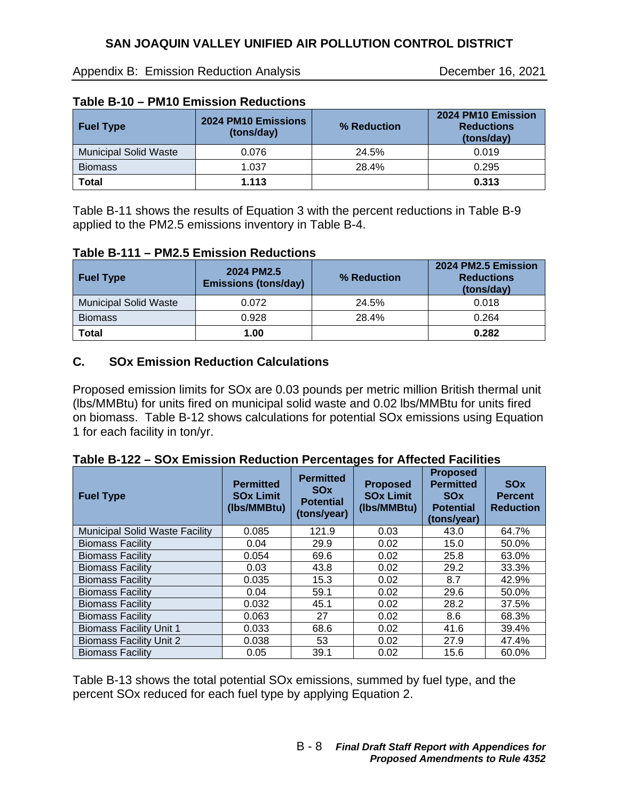| <b>Fuel Type</b>             | 2024 PM10 Emissions<br>(tons/day) | % Reduction | 2024 PM10 Emission<br><b>Reductions</b><br>(tons/day) |
|------------------------------|-----------------------------------|-------------|-------------------------------------------------------|
| <b>Municipal Solid Waste</b> | 0.076                             | 24.5%       | 0.019                                                 |
| <b>Biomass</b>               | 1.037                             | 28.4%       | 0.295                                                 |
| <b>Total</b>                 | 1.113                             |             | 0.313                                                 |

### <span id="page-7-0"></span>**Table B-10 – PM10 Emission Reductions**

Table B-11 shows the results of Equation 3 with the percent reductions in Table B-9 applied to the PM2.5 emissions inventory in Table B-4.

**Table B-111 – PM2.5 Emission Reductions**

| <b>Fuel Type</b>             | 2024 PM2.5<br><b>Emissions (tons/day)</b> | % Reduction | 2024 PM2.5 Emission<br><b>Reductions</b><br>(tons/day) |
|------------------------------|-------------------------------------------|-------------|--------------------------------------------------------|
| <b>Municipal Solid Waste</b> | 0.072                                     | 24.5%       | 0.018                                                  |
| <b>Biomass</b>               | 0.928                                     | 28.4%       | 0.264                                                  |
| <b>Total</b>                 | 1.00                                      |             | 0.282                                                  |

### **C. SOx Emission Reduction Calculations**

Proposed emission limits for SOx are 0.03 pounds per metric million British thermal unit (lbs/MMBtu) for units fired on municipal solid waste and 0.02 lbs/MMBtu for units fired on biomass. [Table B-12](#page-7-1) shows calculations for potential SOx emissions using Equation 1 for each facility in ton/yr.

| <b>Fuel Type</b>                      | <b>Permitted</b><br><b>SOx Limit</b><br>(Ibs/MMBtu) | <b>Permitted</b><br><b>SO<sub>x</sub></b><br><b>Potential</b><br>(tons/year) | <b>Proposed</b><br><b>SOx Limit</b><br>(Ibs/MMBtu) | <b>Proposed</b><br><b>Permitted</b><br><b>SOx</b><br><b>Potential</b><br>(tons/year) | <b>SOx</b><br><b>Percent</b><br><b>Reduction</b> |
|---------------------------------------|-----------------------------------------------------|------------------------------------------------------------------------------|----------------------------------------------------|--------------------------------------------------------------------------------------|--------------------------------------------------|
| <b>Municipal Solid Waste Facility</b> | 0.085                                               | 121.9                                                                        | 0.03                                               | 43.0                                                                                 | 64.7%                                            |
| <b>Biomass Facility</b>               | 0.04                                                | 29.9                                                                         | 0.02                                               | 15.0                                                                                 | 50.0%                                            |
| <b>Biomass Facility</b>               | 0.054                                               | 69.6                                                                         | 0.02                                               | 25.8                                                                                 | 63.0%                                            |
| <b>Biomass Facility</b>               | 0.03                                                | 43.8                                                                         | 0.02                                               | 29.2                                                                                 | 33.3%                                            |
| <b>Biomass Facility</b>               | 0.035                                               | 15.3                                                                         | 0.02                                               | 8.7                                                                                  | 42.9%                                            |
| <b>Biomass Facility</b>               | 0.04                                                | 59.1                                                                         | 0.02                                               | 29.6                                                                                 | 50.0%                                            |
| <b>Biomass Facility</b>               | 0.032                                               | 45.1                                                                         | 0.02                                               | 28.2                                                                                 | 37.5%                                            |
| <b>Biomass Facility</b>               | 0.063                                               | 27                                                                           | 0.02                                               | 8.6                                                                                  | 68.3%                                            |
| <b>Biomass Facility Unit 1</b>        | 0.033                                               | 68.6                                                                         | 0.02                                               | 41.6                                                                                 | 39.4%                                            |
| <b>Biomass Facility Unit 2</b>        | 0.038                                               | 53                                                                           | 0.02                                               | 27.9                                                                                 | 47.4%                                            |
| <b>Biomass Facility</b>               | 0.05                                                | 39.1                                                                         | 0.02                                               | 15.6                                                                                 | 60.0%                                            |

<span id="page-7-1"></span>

[Table B-13](#page-8-0) shows the total potential SOx emissions, summed by fuel type, and the percent SOx reduced for each fuel type by applying Equation 2.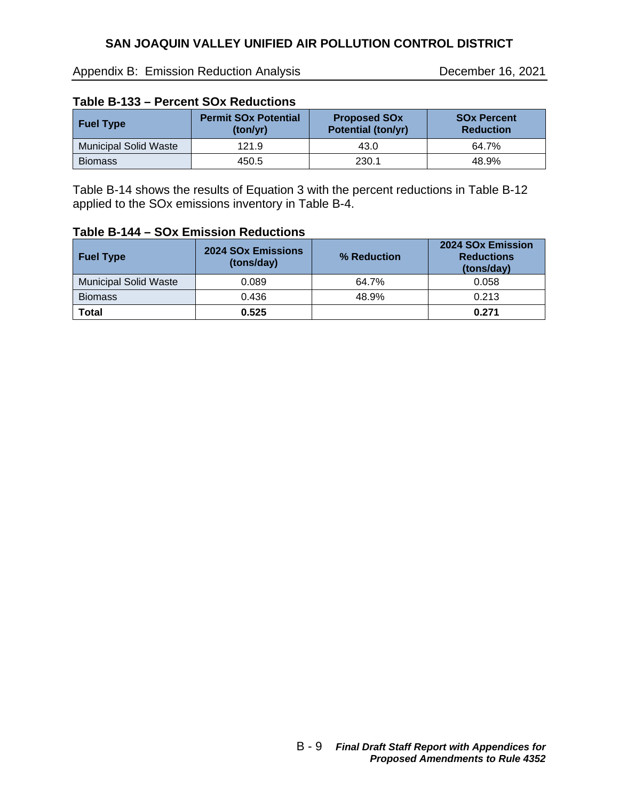#### <span id="page-8-0"></span>**Table B-133 – Percent SOx Reductions**

| <b>Fuel Type</b>             | <b>Permit SOx Potential</b><br>(ton/yr) | <b>Proposed SOx</b><br><b>Potential (ton/yr)</b> | <b>SOx Percent</b><br><b>Reduction</b> |
|------------------------------|-----------------------------------------|--------------------------------------------------|----------------------------------------|
| <b>Municipal Solid Waste</b> | 121.9                                   | 43.0                                             | 64.7%                                  |
| <b>Biomass</b>               | 450.5                                   | 230.1                                            | 48.9%                                  |

[Table B-14](#page-8-1) shows the results of Equation 3 with the percent reductions in [Table B-12](#page-8-0) applied to the SOx emissions inventory in [Table B-4.](#page-3-2)

<span id="page-8-1"></span>

| Fuel Type                    | <b>2024 SOx Emissions</b><br>(tons/day) | % Reduction | 2024 SOx Emission<br><b>Reductions</b><br>(tons/day) |  |
|------------------------------|-----------------------------------------|-------------|------------------------------------------------------|--|
| <b>Municipal Solid Waste</b> | 0.089                                   | 64.7%       | 0.058                                                |  |
| <b>Biomass</b>               | 0.436                                   | 48.9%       | 0.213                                                |  |
| Total                        | 0.525                                   |             | 0.271                                                |  |